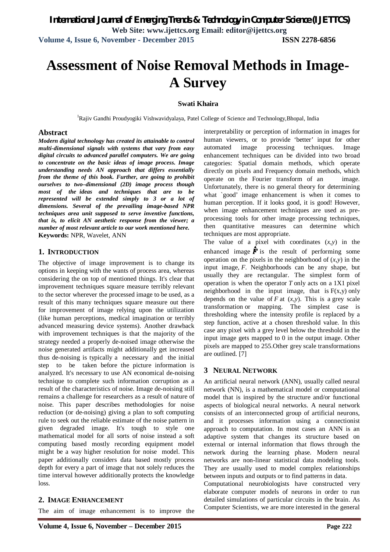# **Assessment of Noise Removal Methods in Image-A Survey**

## **Swati Khaira**

<sup>1</sup>Rajiv Gandhi Proudyogiki Vishwavidyalaya, Patel College of Science and Technology, Bhopal, India

#### **Abstract**

*Modern digital technology has created its attainable to control multi-dimensional signals with systems that vary from easy digital circuits to advanced parallel computers. We are going to concentrate on the basic ideas of image process. Image understanding needs AN approach that differs essentially from the theme of this book. Further, are going to prohibit ourselves to two–dimensional (2D) image process though most of the ideas and techniques that are to be represented will be extended simply to 3 or a lot of dimensions. Several of the prevailing image-based NPR techniques area unit supposed to serve inventive functions, that is, to elicit AN aesthetic response from the viewer; a number of most relevant article to our work mentioned here.* **Keywords:** NPR, Wavelet, ANN

## **1. INTRODUCTION**

The objective of image improvement is to change its options in keeping with the wants of process area, whereas considering the on top of mentioned things. It's clear that improvement techniques square measure terribly relevant to the sector wherever the processed image to be used, as a result of this many techniques square measure out there for improvement of image relying upon the utilization (like human perceptions, medical imagination or terribly advanced measuring device systems). Another drawback with improvement techniques is that the majority of the strategy needed a properly de-noised image otherwise the noise generated artifacts might additionally get increased thus de-noising is typically a necessary and the initial step to be taken before the picture information is analyzed. It's necessary to use AN economical de-noising technique to complete such information corruption as a result of the characteristics of noise. Image de-noising still remains a challenge for researchers as a result of nature of noise. This paper describes methodologies for noise reduction (or de-noising) giving a plan to soft computing rule to seek out the reliable estimate of the noise pattern in given degraded image. It's tough to style one mathematical model for all sorts of noise instead a soft computing based mostly recording equipment model might be a way higher resolution for noise model. This paper additionally considers data based mostly process depth for every a part of image that not solely reduces the time interval however additionally protects the knowledge loss.

## **2. IMAGE ENHANCEMENT**

The aim of image enhancement is to improve the

interpretability or perception of information in images for human viewers, or to provide 'better' input for other automated image processing techniques. Image enhancement techniques can be divided into two broad categories: Spatial domain methods, which operate directly on pixels and Frequency domain methods, which operate on the Fourier transform of an image. Unfortunately, there is no general theory for determining what `good' image enhancement is when it comes to human perception. If it looks good, it is good! However, when image enhancement techniques are used as preprocessing tools for other image processing techniques, then quantitative measures can determine which techniques are most appropriate.

The value of a pixel with coordinates (*x*,*y*) in the enhanced image  $\hat{F}$  is the result of performing some operation on the pixels in the neighborhood of  $(x,y)$  in the input image, *F*. Neighborhoods can be any shape, but usually they are rectangular. The simplest form of operation is when the operator *T* only acts on a 1X1 pixel neighborhood in the input image, that is  $F(x,y)$  only depends on the value of *F* at  $(x, y)$ . This is a grey scale transformation or mapping. The simplest case is thresholding where the intensity profile is replaced by a step function, active at a chosen threshold value. In this case any pixel with a grey level below the threshold in the input image gets mapped to 0 in the output image. Other pixels are mapped to 255.Other grey scale transformations are outlined. [7]

## **3 NEURAL NETWORK**

An artificial neural network (ANN), usually called neural network (NN), is a mathematical model or computational model that is inspired by the structure and/or functional aspects of biological neural networks. A neural network consists of an interconnected group of artificial neurons, and it processes information using a connectionist approach to computation. In most cases an ANN is an adaptive system that changes its structure based on external or internal information that flows through the network during the learning phase. Modern neural networks are non-linear statistical data modeling tools. They are usually used to model complex relationships between inputs and outputs or to find patterns in data.

Computational neurobiologists have constructed very elaborate computer models of neurons in order to run detailed simulations of particular circuits in the brain. As Computer Scientists, we are more interested in the general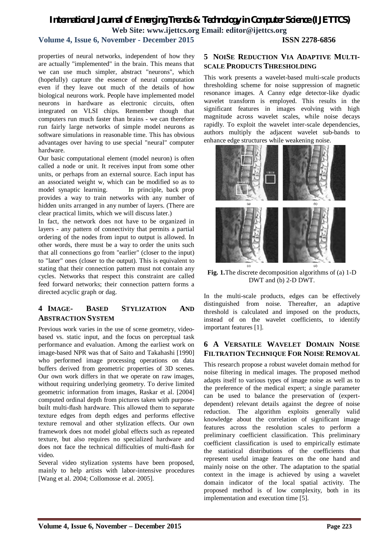# *International Journal of Emerging Trends & Technology in Computer Science (IJETTCS)* **Web Site: www.ijettcs.org Email: editor@ijettcs.org**

## **Volume 4, Issue 6, November - December 2015 ISSN 2278-6856**

properties of neural networks, independent of how they are actually "implemented" in the brain. This means that we can use much simpler, abstract "neurons", which (hopefully) capture the essence of neural computation even if they leave out much of the details of how biological neurons work. People have implemented model neurons in hardware as electronic circuits, often integrated on VLSI chips. Remember though that computers run much faster than brains - we can therefore run fairly large networks of simple model neurons as software simulations in reasonable time. This has obvious advantages over having to use special "neural" computer hardware.

Our basic computational element (model neuron) is often called a node or unit. It receives input from some other units, or perhaps from an external source. Each input has an associated weight w, which can be modified so as to model synaptic learning. In principle, back prop provides a way to train networks with any number of hidden units arranged in any number of layers. (There are clear practical limits, which we will discuss later.)

In fact, the network does not have to be organized in layers - any pattern of connectivity that permits a partial ordering of the nodes from input to output is allowed. In other words, there must be a way to order the units such that all connections go from "earlier" (closer to the input) to "later" ones (closer to the output). This is equivalent to stating that their connection pattern must not contain any cycles. Networks that respect this constraint are called feed forward networks; their connection pattern forms a directed acyclic graph or dag.

## **4 IMAGE- BASED STYLIZATION AND ABSTRACTION SYSTEM**

Previous work varies in the use of scene geometry, videobased vs. static input, and the focus on perceptual task performance and evaluation. Among the earliest work on image-based NPR was that of Saito and Takahashi [1990] who performed image processing operations on data buffers derived from geometric properties of 3D scenes. Our own work differs in that we operate on raw images, without requiring underlying geometry. To derive limited geometric information from images, Raskar et al. [2004] computed ordinal depth from pictures taken with purposebuilt multi-flash hardware. This allowed them to separate texture edges from depth edges and performs effective texture removal and other stylization effects. Our own framework does not model global effects such as repeated texture, but also requires no specialized hardware and does not face the technical difficulties of multi-flash for video.

Several video stylization systems have been proposed, mainly to help artists with labor-intensive procedures [Wang et al. 2004; Collomosse et al. 2005].

## **5 NOISE REDUCTION VIA ADAPTIVE MULTI-SCALE PRODUCTS THRESHOLDING**

This work presents a wavelet-based multi-scale products thresholding scheme for noise suppression of magnetic resonance images. A Canny edge detector-like dyadic wavelet transform is employed. This results in the significant features in images evolving with high magnitude across wavelet scales, while noise decays rapidly. To exploit the wavelet inter-scale dependencies, authors multiply the adjacent wavelet sub-bands to enhance edge structures while weakening noise.



**Fig. 1.**The discrete decomposition algorithms of (a) 1-D DWT and (b) 2-D DWT.

In the multi-scale products, edges can be effectively distinguished from noise. Thereafter, an adaptive threshold is calculated and imposed on the products, instead of on the wavelet coefficients, to identify important features [1].

## **6 A VERSATILE WAVELET DOMAIN NOISE FILTRATION TECHNIQUE FOR NOISE REMOVAL**

This research propose a robust wavelet domain method for noise filtering in medical images. The proposed method adapts itself to various types of image noise as well as to the preference of the medical expert; a single parameter can be used to balance the preservation of (expertdependent) relevant details against the degree of noise reduction. The algorithm exploits generally valid knowledge about the correlation of significant image features across the resolution scales to perform a preliminary coefficient classification. This preliminary coefficient classification is used to empirically estimate the statistical distributions of the coefficients that represent useful image features on the one hand and mainly noise on the other. The adaptation to the spatial context in the image is achieved by using a wavelet domain indicator of the local spatial activity. The proposed method is of low complexity, both in its implementation and execution time [5].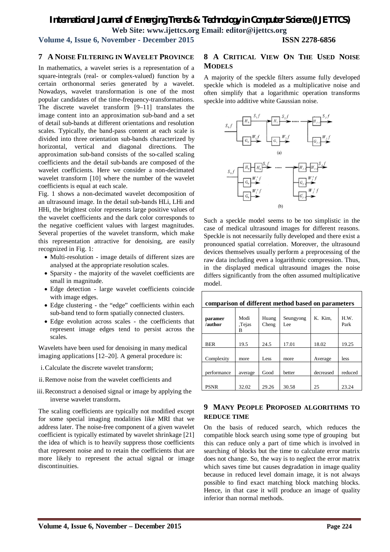## *International Journal of Emerging Trends & Technology in Computer Science (IJETTCS)* **Web Site: www.ijettcs.org Email: editor@ijettcs.org**

## **Volume 4, Issue 6, November - December 2015 ISSN 2278-6856**

## **7 A NOISE FILTERING IN WAVELET PROVINCE**

In mathematics, a wavelet series is a representation of a square-integrals (real- or complex-valued) function by a certain orthonormal series generated by a wavelet. Nowadays, wavelet transformation is one of the most popular candidates of the time-frequency-transformations. The discrete wavelet transform [9–11] translates the image content into an approximation sub-band and a set of detail sub-bands at different orientations and resolution scales. Typically, the band-pass content at each scale is divided into three orientation sub-bands characterized by horizontal, vertical and diagonal directions. The approximation sub-band consists of the so-called scaling coefficients and the detail sub-bands are composed of the wavelet coefficients. Here we consider a non-decimated wavelet transform [10] where the number of the wavelet coefficients is equal at each scale.

Fig. 1 shows a non-decimated wavelet decomposition of an ultrasound image. In the detail sub-bands HLi, LHi and HHi, the brightest color represents large positive values of the wavelet coefficients and the dark color corresponds to the negative coefficient values with largest magnitudes. Several properties of the wavelet transform, which make this representation attractive for denoising, are easily recognized in Fig. 1:

- Multi-resolution image details of different sizes are analysed at the appropriate resolution scales.
- Sparsity the majority of the wavelet coefficients are small in magnitude.
- Edge detection large wavelet coefficients coincide with image edges.
- Edge clustering the "edge" coefficients within each sub-band tend to form spatially connected clusters.
- Edge evolution across scales the coefficients that represent image edges tend to persist across the scales.

Wavelets have been used for denoising in many medical imaging applications [12–20]. A general procedure is:

- i.Calculate the discrete wavelet transform;
- ii.Remove noise from the wavelet coefficients and
- iii.Reconstruct a denoised signal or image by applying the inverse wavelet transform**.**

The scaling coefficients are typically not modified except for some special imaging modalities like MRI that we address later. The noise-free component of a given wavelet coefficient is typically estimated by wavelet shrinkage [21] the idea of which is to heavily suppress those coefficients that represent noise and to retain the coefficients that are more likely to represent the actual signal or image discontinuities.

## **8 A CRITICAL VIEW ON THE USED NOISE MODELS**

A majority of the speckle filters assume fully developed speckle which is modeled as a multiplicative noise and often simplify that a logarithmic operation transforms speckle into additive white Gaussian noise.



Such a speckle model seems to be too simplistic in the case of medical ultrasound images for different reasons. Speckle is not necessarily fully developed and there exist a pronounced spatial correlation. Moreover, the ultrasound devices themselves usually perform a preprocessing of the raw data including even a logarithmic compression. Thus, in the displayed medical ultrasound images the noise differs significantly from the often assumed multiplicative model.

| comparison of different method based on parameters |                     |                |                  |           |              |
|----------------------------------------------------|---------------------|----------------|------------------|-----------|--------------|
| paramer<br>/author                                 | Modi<br>Tejas,<br>в | Huang<br>Cheng | Seungyong<br>Lee | K. Kim.   | H.W.<br>Park |
| <b>BER</b>                                         | 19.5                | 24.5           | 17.01            | 18.02     | 19.25        |
| Complexity                                         | more                | Less           | more             | Average   | less         |
| performance                                        | average             | Good           | better           | decreased | reduced      |
| <b>PSNR</b>                                        | 32.02               | 29.26          | 30.58            | 25        | 23.24        |

## **9 MANY PEOPLE PROPOSED ALGORITHMS TO REDUCE TIME**

On the basis of reduced search, which reduces the compatible block search using some type of grouping but this can reduce only a part of time which is involved in searching of blocks but the time to calculate error matrix does not change. So, the way is to neglect the error matrix which saves time but causes degradation in image quality because in reduced level domain image, it is not always possible to find exact matching block matching blocks. Hence, in that case it will produce an image of quality inferior than normal methods.